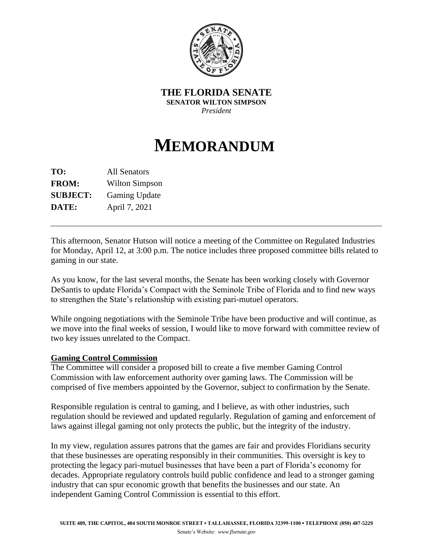

**THE FLORIDA SENATE SENATOR WILTON SIMPSON** *President*

## **MEMORANDUM**

**TO:** All Senators **FROM:** Wilton Simpson **SUBJECT:** Gaming Update **DATE:** April 7, 2021

This afternoon, Senator Hutson will notice a meeting of the Committee on Regulated Industries for Monday, April 12, at 3:00 p.m. The notice includes three proposed committee bills related to gaming in our state.

As you know, for the last several months, the Senate has been working closely with Governor DeSantis to update Florida's Compact with the Seminole Tribe of Florida and to find new ways to strengthen the State's relationship with existing pari-mutuel operators.

While ongoing negotiations with the Seminole Tribe have been productive and will continue, as we move into the final weeks of session, I would like to move forward with committee review of two key issues unrelated to the Compact.

## **Gaming Control Commission**

The Committee will consider a proposed bill to create a five member Gaming Control Commission with law enforcement authority over gaming laws. The Commission will be comprised of five members appointed by the Governor, subject to confirmation by the Senate.

Responsible regulation is central to gaming, and I believe, as with other industries, such regulation should be reviewed and updated regularly. Regulation of gaming and enforcement of laws against illegal gaming not only protects the public, but the integrity of the industry.

In my view, regulation assures patrons that the games are fair and provides Floridians security that these businesses are operating responsibly in their communities. This oversight is key to protecting the legacy pari-mutuel businesses that have been a part of Florida's economy for decades. Appropriate regulatory controls build public confidence and lead to a stronger gaming industry that can spur economic growth that benefits the businesses and our state. An independent Gaming Control Commission is essential to this effort.